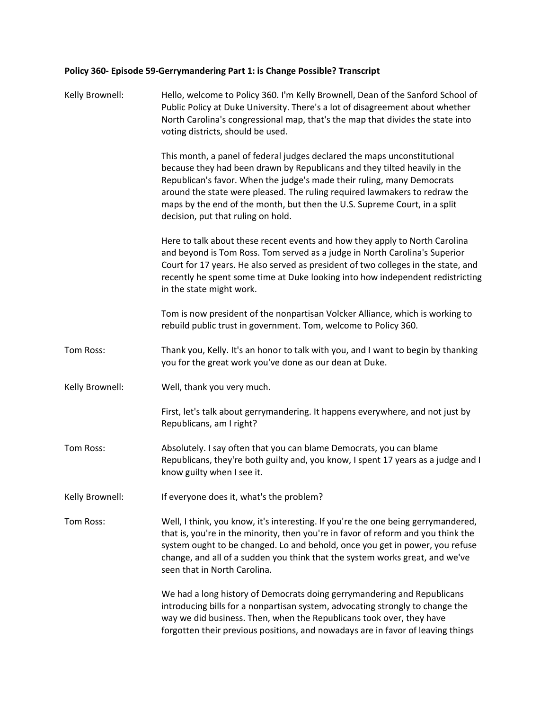## **Policy 360- Episode 59-Gerrymandering Part 1: is Change Possible? Transcript**

| Kelly Brownell: | Hello, welcome to Policy 360. I'm Kelly Brownell, Dean of the Sanford School of<br>Public Policy at Duke University. There's a lot of disagreement about whether<br>North Carolina's congressional map, that's the map that divides the state into<br>voting districts, should be used.                                                                                                                                          |
|-----------------|----------------------------------------------------------------------------------------------------------------------------------------------------------------------------------------------------------------------------------------------------------------------------------------------------------------------------------------------------------------------------------------------------------------------------------|
|                 | This month, a panel of federal judges declared the maps unconstitutional<br>because they had been drawn by Republicans and they tilted heavily in the<br>Republican's favor. When the judge's made their ruling, many Democrats<br>around the state were pleased. The ruling required lawmakers to redraw the<br>maps by the end of the month, but then the U.S. Supreme Court, in a split<br>decision, put that ruling on hold. |
|                 | Here to talk about these recent events and how they apply to North Carolina<br>and beyond is Tom Ross. Tom served as a judge in North Carolina's Superior<br>Court for 17 years. He also served as president of two colleges in the state, and<br>recently he spent some time at Duke looking into how independent redistricting<br>in the state might work.                                                                     |
|                 | Tom is now president of the nonpartisan Volcker Alliance, which is working to<br>rebuild public trust in government. Tom, welcome to Policy 360.                                                                                                                                                                                                                                                                                 |
| Tom Ross:       | Thank you, Kelly. It's an honor to talk with you, and I want to begin by thanking<br>you for the great work you've done as our dean at Duke.                                                                                                                                                                                                                                                                                     |
| Kelly Brownell: | Well, thank you very much.                                                                                                                                                                                                                                                                                                                                                                                                       |
|                 | First, let's talk about gerrymandering. It happens everywhere, and not just by<br>Republicans, am I right?                                                                                                                                                                                                                                                                                                                       |
| Tom Ross:       | Absolutely. I say often that you can blame Democrats, you can blame<br>Republicans, they're both guilty and, you know, I spent 17 years as a judge and I<br>know guilty when I see it.                                                                                                                                                                                                                                           |
| Kelly Brownell: | If everyone does it, what's the problem?                                                                                                                                                                                                                                                                                                                                                                                         |
| Tom Ross:       | Well, I think, you know, it's interesting. If you're the one being gerrymandered,<br>that is, you're in the minority, then you're in favor of reform and you think the<br>system ought to be changed. Lo and behold, once you get in power, you refuse<br>change, and all of a sudden you think that the system works great, and we've<br>seen that in North Carolina.                                                           |
|                 | We had a long history of Democrats doing gerrymandering and Republicans<br>introducing bills for a nonpartisan system, advocating strongly to change the<br>way we did business. Then, when the Republicans took over, they have<br>forgotten their previous positions, and nowadays are in favor of leaving things                                                                                                              |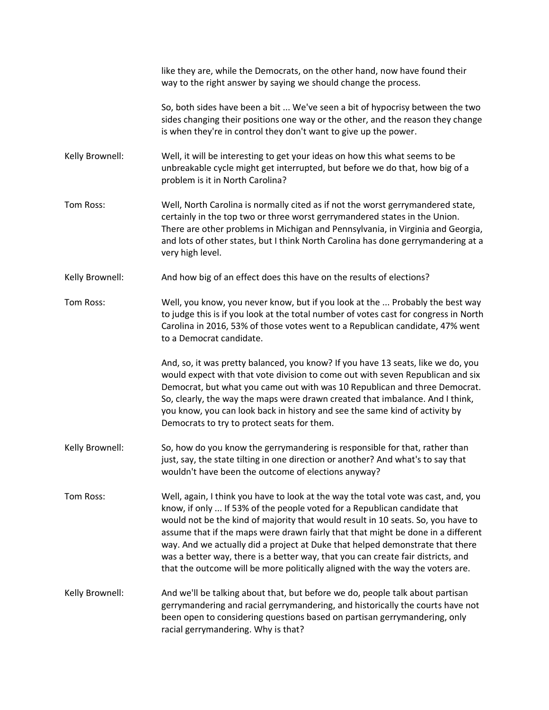|                 | like they are, while the Democrats, on the other hand, now have found their<br>way to the right answer by saying we should change the process.                                                                                                                                                                                                                                                                                                                                                                                                                                                 |
|-----------------|------------------------------------------------------------------------------------------------------------------------------------------------------------------------------------------------------------------------------------------------------------------------------------------------------------------------------------------------------------------------------------------------------------------------------------------------------------------------------------------------------------------------------------------------------------------------------------------------|
|                 | So, both sides have been a bit  We've seen a bit of hypocrisy between the two<br>sides changing their positions one way or the other, and the reason they change<br>is when they're in control they don't want to give up the power.                                                                                                                                                                                                                                                                                                                                                           |
| Kelly Brownell: | Well, it will be interesting to get your ideas on how this what seems to be<br>unbreakable cycle might get interrupted, but before we do that, how big of a<br>problem is it in North Carolina?                                                                                                                                                                                                                                                                                                                                                                                                |
| Tom Ross:       | Well, North Carolina is normally cited as if not the worst gerrymandered state,<br>certainly in the top two or three worst gerrymandered states in the Union.<br>There are other problems in Michigan and Pennsylvania, in Virginia and Georgia,<br>and lots of other states, but I think North Carolina has done gerrymandering at a<br>very high level.                                                                                                                                                                                                                                      |
| Kelly Brownell: | And how big of an effect does this have on the results of elections?                                                                                                                                                                                                                                                                                                                                                                                                                                                                                                                           |
| Tom Ross:       | Well, you know, you never know, but if you look at the  Probably the best way<br>to judge this is if you look at the total number of votes cast for congress in North<br>Carolina in 2016, 53% of those votes went to a Republican candidate, 47% went<br>to a Democrat candidate.                                                                                                                                                                                                                                                                                                             |
|                 | And, so, it was pretty balanced, you know? If you have 13 seats, like we do, you<br>would expect with that vote division to come out with seven Republican and six<br>Democrat, but what you came out with was 10 Republican and three Democrat.<br>So, clearly, the way the maps were drawn created that imbalance. And I think,<br>you know, you can look back in history and see the same kind of activity by<br>Democrats to try to protect seats for them.                                                                                                                                |
| Kelly Brownell: | So, how do you know the gerrymandering is responsible for that, rather than<br>just, say, the state tilting in one direction or another? And what's to say that<br>wouldn't have been the outcome of elections anyway?                                                                                                                                                                                                                                                                                                                                                                         |
| Tom Ross:       | Well, again, I think you have to look at the way the total vote was cast, and, you<br>know, if only  If 53% of the people voted for a Republican candidate that<br>would not be the kind of majority that would result in 10 seats. So, you have to<br>assume that if the maps were drawn fairly that that might be done in a different<br>way. And we actually did a project at Duke that helped demonstrate that there<br>was a better way, there is a better way, that you can create fair districts, and<br>that the outcome will be more politically aligned with the way the voters are. |
| Kelly Brownell: | And we'll be talking about that, but before we do, people talk about partisan<br>gerrymandering and racial gerrymandering, and historically the courts have not<br>been open to considering questions based on partisan gerrymandering, only<br>racial gerrymandering. Why is that?                                                                                                                                                                                                                                                                                                            |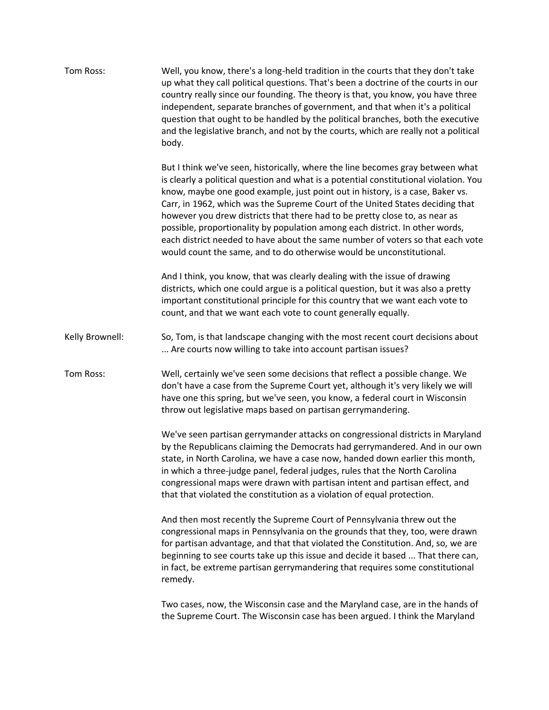| Tom Ross:       | Well, you know, there's a long-held tradition in the courts that they don't take<br>up what they call political questions. That's been a doctrine of the courts in our<br>country really since our founding. The theory is that, you know, you have three<br>independent, separate branches of government, and that when it's a political<br>question that ought to be handled by the political branches, both the executive<br>and the legislative branch, and not by the courts, which are really not a political<br>body.                                                                                                                                       |
|-----------------|--------------------------------------------------------------------------------------------------------------------------------------------------------------------------------------------------------------------------------------------------------------------------------------------------------------------------------------------------------------------------------------------------------------------------------------------------------------------------------------------------------------------------------------------------------------------------------------------------------------------------------------------------------------------|
|                 | But I think we've seen, historically, where the line becomes gray between what<br>is clearly a political question and what is a potential constitutional violation. You<br>know, maybe one good example, just point out in history, is a case, Baker vs.<br>Carr, in 1962, which was the Supreme Court of the United States deciding that<br>however you drew districts that there had to be pretty close to, as near as<br>possible, proportionality by population among each district. In other words,<br>each district needed to have about the same number of voters so that each vote<br>would count the same, and to do otherwise would be unconstitutional. |
|                 | And I think, you know, that was clearly dealing with the issue of drawing<br>districts, which one could argue is a political question, but it was also a pretty<br>important constitutional principle for this country that we want each vote to<br>count, and that we want each vote to count generally equally.                                                                                                                                                                                                                                                                                                                                                  |
| Kelly Brownell: | So, Tom, is that landscape changing with the most recent court decisions about<br>Are courts now willing to take into account partisan issues?                                                                                                                                                                                                                                                                                                                                                                                                                                                                                                                     |
| Tom Ross:       | Well, certainly we've seen some decisions that reflect a possible change. We<br>don't have a case from the Supreme Court yet, although it's very likely we will<br>have one this spring, but we've seen, you know, a federal court in Wisconsin<br>throw out legislative maps based on partisan gerrymandering.                                                                                                                                                                                                                                                                                                                                                    |
|                 | We've seen partisan gerrymander attacks on congressional districts in Maryland<br>by the Republicans claiming the Democrats had gerrymandered. And in our own<br>state, in North Carolina, we have a case now, handed down earlier this month,<br>in which a three-judge panel, federal judges, rules that the North Carolina<br>congressional maps were drawn with partisan intent and partisan effect, and<br>that that violated the constitution as a violation of equal protection.                                                                                                                                                                            |
|                 | And then most recently the Supreme Court of Pennsylvania threw out the<br>congressional maps in Pennsylvania on the grounds that they, too, were drawn<br>for partisan advantage, and that that violated the Constitution. And, so, we are<br>beginning to see courts take up this issue and decide it based  That there can,<br>in fact, be extreme partisan gerrymandering that requires some constitutional<br>remedy.                                                                                                                                                                                                                                          |
|                 | Two cases, now, the Wisconsin case and the Maryland case, are in the hands of<br>the Supreme Court. The Wisconsin case has been argued. I think the Maryland                                                                                                                                                                                                                                                                                                                                                                                                                                                                                                       |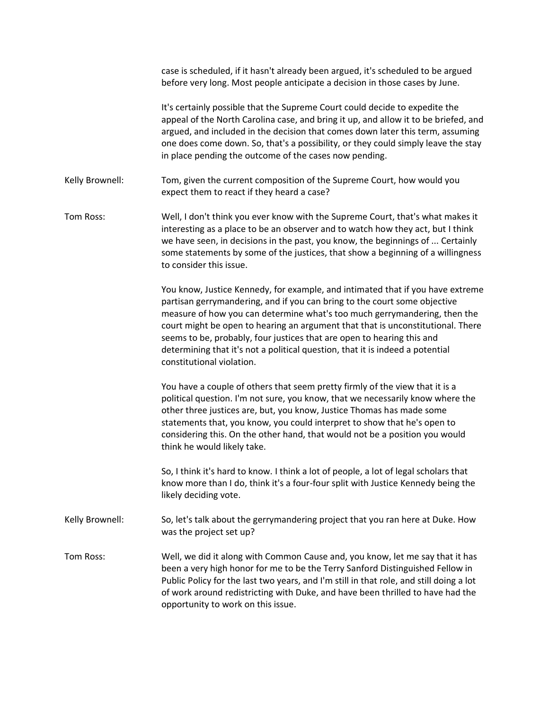|                 | case is scheduled, if it hasn't already been argued, it's scheduled to be argued<br>before very long. Most people anticipate a decision in those cases by June.                                                                                                                                                                                                                                                                                                                                                     |
|-----------------|---------------------------------------------------------------------------------------------------------------------------------------------------------------------------------------------------------------------------------------------------------------------------------------------------------------------------------------------------------------------------------------------------------------------------------------------------------------------------------------------------------------------|
|                 | It's certainly possible that the Supreme Court could decide to expedite the<br>appeal of the North Carolina case, and bring it up, and allow it to be briefed, and<br>argued, and included in the decision that comes down later this term, assuming<br>one does come down. So, that's a possibility, or they could simply leave the stay<br>in place pending the outcome of the cases now pending.                                                                                                                 |
| Kelly Brownell: | Tom, given the current composition of the Supreme Court, how would you<br>expect them to react if they heard a case?                                                                                                                                                                                                                                                                                                                                                                                                |
| Tom Ross:       | Well, I don't think you ever know with the Supreme Court, that's what makes it<br>interesting as a place to be an observer and to watch how they act, but I think<br>we have seen, in decisions in the past, you know, the beginnings of  Certainly<br>some statements by some of the justices, that show a beginning of a willingness<br>to consider this issue.                                                                                                                                                   |
|                 | You know, Justice Kennedy, for example, and intimated that if you have extreme<br>partisan gerrymandering, and if you can bring to the court some objective<br>measure of how you can determine what's too much gerrymandering, then the<br>court might be open to hearing an argument that that is unconstitutional. There<br>seems to be, probably, four justices that are open to hearing this and<br>determining that it's not a political question, that it is indeed a potential<br>constitutional violation. |
|                 | You have a couple of others that seem pretty firmly of the view that it is a<br>political question. I'm not sure, you know, that we necessarily know where the<br>other three justices are, but, you know, Justice Thomas has made some<br>statements that, you know, you could interpret to show that he's open to<br>considering this. On the other hand, that would not be a position you would<br>think he would likely take.                                                                                   |
|                 | So, I think it's hard to know. I think a lot of people, a lot of legal scholars that<br>know more than I do, think it's a four-four split with Justice Kennedy being the<br>likely deciding vote.                                                                                                                                                                                                                                                                                                                   |
| Kelly Brownell: | So, let's talk about the gerrymandering project that you ran here at Duke. How<br>was the project set up?                                                                                                                                                                                                                                                                                                                                                                                                           |
| Tom Ross:       | Well, we did it along with Common Cause and, you know, let me say that it has<br>been a very high honor for me to be the Terry Sanford Distinguished Fellow in<br>Public Policy for the last two years, and I'm still in that role, and still doing a lot<br>of work around redistricting with Duke, and have been thrilled to have had the<br>opportunity to work on this issue.                                                                                                                                   |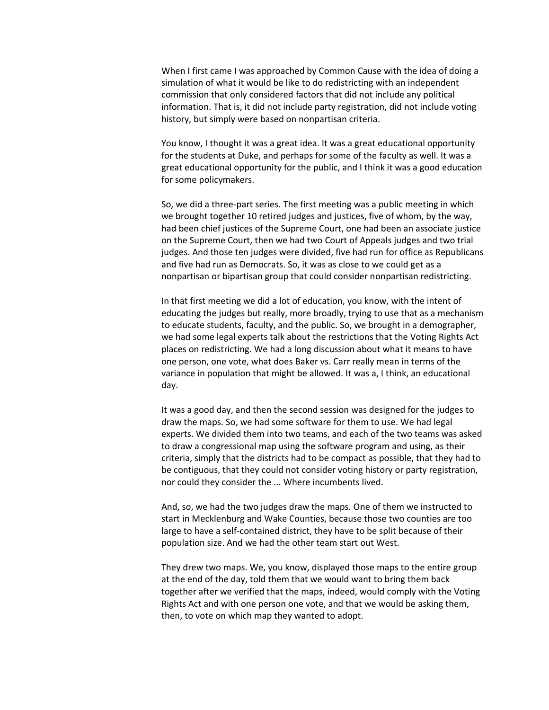When I first came I was approached by Common Cause with the idea of doing a simulation of what it would be like to do redistricting with an independent commission that only considered factors that did not include any political information. That is, it did not include party registration, did not include voting history, but simply were based on nonpartisan criteria.

You know, I thought it was a great idea. It was a great educational opportunity for the students at Duke, and perhaps for some of the faculty as well. It was a great educational opportunity for the public, and I think it was a good education for some policymakers.

So, we did a three-part series. The first meeting was a public meeting in which we brought together 10 retired judges and justices, five of whom, by the way, had been chief justices of the Supreme Court, one had been an associate justice on the Supreme Court, then we had two Court of Appeals judges and two trial judges. And those ten judges were divided, five had run for office as Republicans and five had run as Democrats. So, it was as close to we could get as a nonpartisan or bipartisan group that could consider nonpartisan redistricting.

In that first meeting we did a lot of education, you know, with the intent of educating the judges but really, more broadly, trying to use that as a mechanism to educate students, faculty, and the public. So, we brought in a demographer, we had some legal experts talk about the restrictions that the Voting Rights Act places on redistricting. We had a long discussion about what it means to have one person, one vote, what does Baker vs. Carr really mean in terms of the variance in population that might be allowed. It was a, I think, an educational day.

It was a good day, and then the second session was designed for the judges to draw the maps. So, we had some software for them to use. We had legal experts. We divided them into two teams, and each of the two teams was asked to draw a congressional map using the software program and using, as their criteria, simply that the districts had to be compact as possible, that they had to be contiguous, that they could not consider voting history or party registration, nor could they consider the ... Where incumbents lived.

And, so, we had the two judges draw the maps. One of them we instructed to start in Mecklenburg and Wake Counties, because those two counties are too large to have a self-contained district, they have to be split because of their population size. And we had the other team start out West.

They drew two maps. We, you know, displayed those maps to the entire group at the end of the day, told them that we would want to bring them back together after we verified that the maps, indeed, would comply with the Voting Rights Act and with one person one vote, and that we would be asking them, then, to vote on which map they wanted to adopt.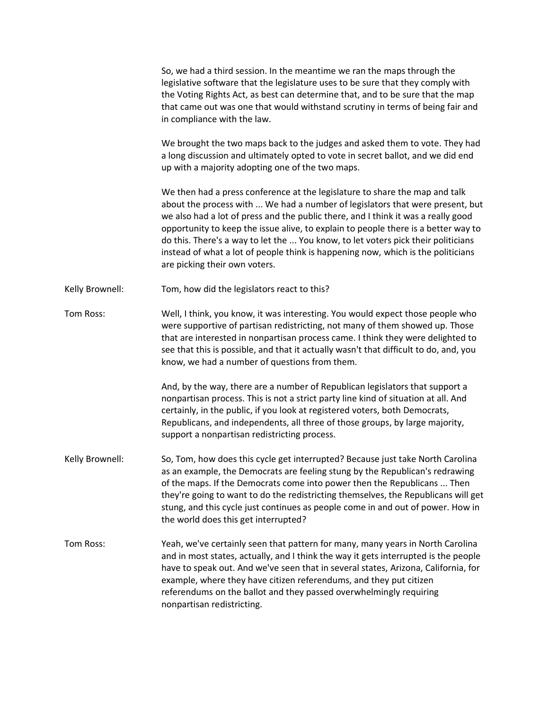|                 | So, we had a third session. In the meantime we ran the maps through the<br>legislative software that the legislature uses to be sure that they comply with<br>the Voting Rights Act, as best can determine that, and to be sure that the map<br>that came out was one that would withstand scrutiny in terms of being fair and<br>in compliance with the law.                                                                                                                                                                                     |
|-----------------|---------------------------------------------------------------------------------------------------------------------------------------------------------------------------------------------------------------------------------------------------------------------------------------------------------------------------------------------------------------------------------------------------------------------------------------------------------------------------------------------------------------------------------------------------|
|                 | We brought the two maps back to the judges and asked them to vote. They had<br>a long discussion and ultimately opted to vote in secret ballot, and we did end<br>up with a majority adopting one of the two maps.                                                                                                                                                                                                                                                                                                                                |
|                 | We then had a press conference at the legislature to share the map and talk<br>about the process with  We had a number of legislators that were present, but<br>we also had a lot of press and the public there, and I think it was a really good<br>opportunity to keep the issue alive, to explain to people there is a better way to<br>do this. There's a way to let the  You know, to let voters pick their politicians<br>instead of what a lot of people think is happening now, which is the politicians<br>are picking their own voters. |
| Kelly Brownell: | Tom, how did the legislators react to this?                                                                                                                                                                                                                                                                                                                                                                                                                                                                                                       |
| Tom Ross:       | Well, I think, you know, it was interesting. You would expect those people who<br>were supportive of partisan redistricting, not many of them showed up. Those<br>that are interested in nonpartisan process came. I think they were delighted to<br>see that this is possible, and that it actually wasn't that difficult to do, and, you<br>know, we had a number of questions from them.                                                                                                                                                       |
|                 | And, by the way, there are a number of Republican legislators that support a<br>nonpartisan process. This is not a strict party line kind of situation at all. And<br>certainly, in the public, if you look at registered voters, both Democrats,<br>Republicans, and independents, all three of those groups, by large majority,<br>support a nonpartisan redistricting process.                                                                                                                                                                 |
| Kelly Brownell: | So, Tom, how does this cycle get interrupted? Because just take North Carolina<br>as an example, the Democrats are feeling stung by the Republican's redrawing<br>of the maps. If the Democrats come into power then the Republicans  Then<br>they're going to want to do the redistricting themselves, the Republicans will get<br>stung, and this cycle just continues as people come in and out of power. How in<br>the world does this get interrupted?                                                                                       |
| Tom Ross:       | Yeah, we've certainly seen that pattern for many, many years in North Carolina<br>and in most states, actually, and I think the way it gets interrupted is the people<br>have to speak out. And we've seen that in several states, Arizona, California, for<br>example, where they have citizen referendums, and they put citizen<br>referendums on the ballot and they passed overwhelmingly requiring<br>nonpartisan redistricting.                                                                                                             |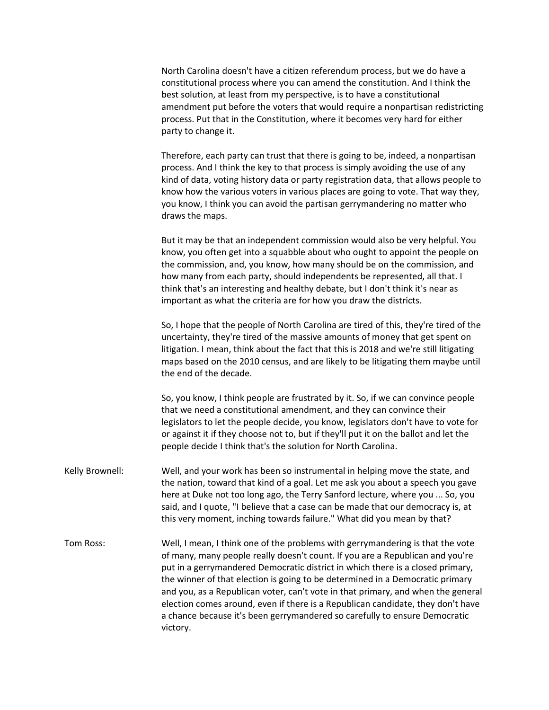North Carolina doesn't have a citizen referendum process, but we do have a constitutional process where you can amend the constitution. And I think the best solution, at least from my perspective, is to have a constitutional amendment put before the voters that would require a nonpartisan redistricting process. Put that in the Constitution, where it becomes very hard for either party to change it.

Therefore, each party can trust that there is going to be, indeed, a nonpartisan process. And I think the key to that process is simply avoiding the use of any kind of data, voting history data or party registration data, that allows people to know how the various voters in various places are going to vote. That way they, you know, I think you can avoid the partisan gerrymandering no matter who draws the maps.

But it may be that an independent commission would also be very helpful. You know, you often get into a squabble about who ought to appoint the people on the commission, and, you know, how many should be on the commission, and how many from each party, should independents be represented, all that. I think that's an interesting and healthy debate, but I don't think it's near as important as what the criteria are for how you draw the districts.

So, I hope that the people of North Carolina are tired of this, they're tired of the uncertainty, they're tired of the massive amounts of money that get spent on litigation. I mean, think about the fact that this is 2018 and we're still litigating maps based on the 2010 census, and are likely to be litigating them maybe until the end of the decade.

So, you know, I think people are frustrated by it. So, if we can convince people that we need a constitutional amendment, and they can convince their legislators to let the people decide, you know, legislators don't have to vote for or against it if they choose not to, but if they'll put it on the ballot and let the people decide I think that's the solution for North Carolina.

- Kelly Brownell: Well, and your work has been so instrumental in helping move the state, and the nation, toward that kind of a goal. Let me ask you about a speech you gave here at Duke not too long ago, the Terry Sanford lecture, where you ... So, you said, and I quote, "I believe that a case can be made that our democracy is, at this very moment, inching towards failure." What did you mean by that?
- Tom Ross: Well, I mean, I think one of the problems with gerrymandering is that the vote of many, many people really doesn't count. If you are a Republican and you're put in a gerrymandered Democratic district in which there is a closed primary, the winner of that election is going to be determined in a Democratic primary and you, as a Republican voter, can't vote in that primary, and when the general election comes around, even if there is a Republican candidate, they don't have a chance because it's been gerrymandered so carefully to ensure Democratic victory.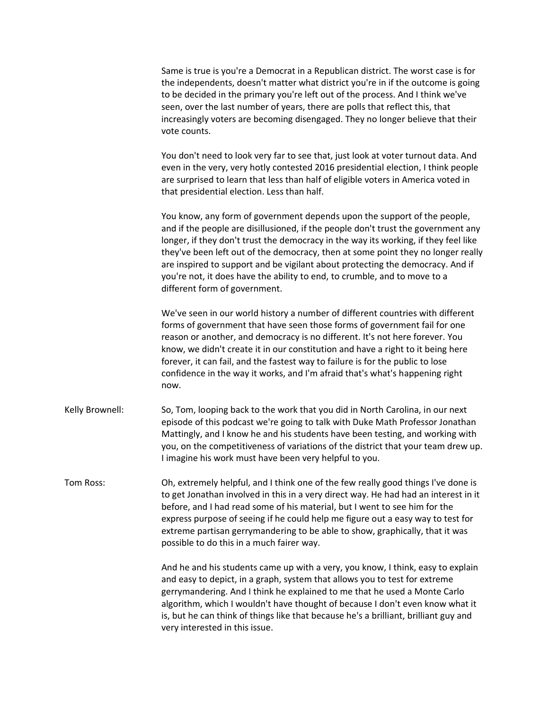Same is true is you're a Democrat in a Republican district. The worst case is for the independents, doesn't matter what district you're in if the outcome is going to be decided in the primary you're left out of the process. And I think we've seen, over the last number of years, there are polls that reflect this, that increasingly voters are becoming disengaged. They no longer believe that their vote counts.

You don't need to look very far to see that, just look at voter turnout data. And even in the very, very hotly contested 2016 presidential election, I think people are surprised to learn that less than half of eligible voters in America voted in that presidential election. Less than half.

You know, any form of government depends upon the support of the people, and if the people are disillusioned, if the people don't trust the government any longer, if they don't trust the democracy in the way its working, if they feel like they've been left out of the democracy, then at some point they no longer really are inspired to support and be vigilant about protecting the democracy. And if you're not, it does have the ability to end, to crumble, and to move to a different form of government.

We've seen in our world history a number of different countries with different forms of government that have seen those forms of government fail for one reason or another, and democracy is no different. It's not here forever. You know, we didn't create it in our constitution and have a right to it being here forever, it can fail, and the fastest way to failure is for the public to lose confidence in the way it works, and I'm afraid that's what's happening right now.

Kelly Brownell: So, Tom, looping back to the work that you did in North Carolina, in our next episode of this podcast we're going to talk with Duke Math Professor Jonathan Mattingly, and I know he and his students have been testing, and working with you, on the competitiveness of variations of the district that your team drew up. I imagine his work must have been very helpful to you.

Tom Ross: Oh, extremely helpful, and I think one of the few really good things I've done is to get Jonathan involved in this in a very direct way. He had had an interest in it before, and I had read some of his material, but I went to see him for the express purpose of seeing if he could help me figure out a easy way to test for extreme partisan gerrymandering to be able to show, graphically, that it was possible to do this in a much fairer way.

> And he and his students came up with a very, you know, I think, easy to explain and easy to depict, in a graph, system that allows you to test for extreme gerrymandering. And I think he explained to me that he used a Monte Carlo algorithm, which I wouldn't have thought of because I don't even know what it is, but he can think of things like that because he's a brilliant, brilliant guy and very interested in this issue.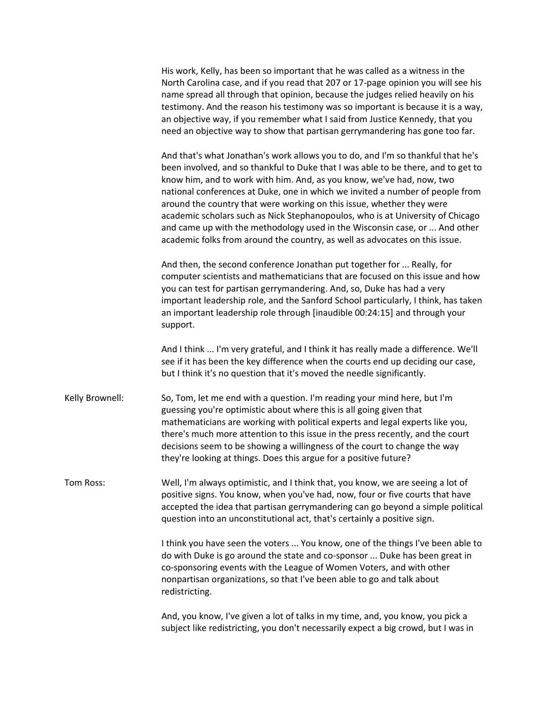His work, Kelly, has been so important that he was called as a witness in the North Carolina case, and if you read that 207 or 17-page opinion you will see his name spread all through that opinion, because the judges relied heavily on his testimony. And the reason his testimony was so important is because it is a way, an objective way, if you remember what I said from Justice Kennedy, that you need an objective way to show that partisan gerrymandering has gone too far.

And that's what Jonathan's work allows you to do, and I'm so thankful that he's been involved, and so thankful to Duke that I was able to be there, and to get to know him, and to work with him. And, as you know, we've had, now, two national conferences at Duke, one in which we invited a number of people from around the country that were working on this issue, whether they were academic scholars such as Nick Stephanopoulos, who is at University of Chicago and came up with the methodology used in the Wisconsin case, or ... And other academic folks from around the country, as well as advocates on this issue.

And then, the second conference Jonathan put together for ... Really, for computer scientists and mathematicians that are focused on this issue and how you can test for partisan gerrymandering. And, so, Duke has had a very important leadership role, and the Sanford School particularly, I think, has taken an important leadership role through [inaudible 00:24:15] and through your support.

And I think ... I'm very grateful, and I think it has really made a difference. We'll see if it has been the key difference when the courts end up deciding our case, but I think it's no question that it's moved the needle significantly.

Kelly Brownell: So, Tom, let me end with a question. I'm reading your mind here, but I'm guessing you're optimistic about where this is all going given that mathematicians are working with political experts and legal experts like you, there's much more attention to this issue in the press recently, and the court decisions seem to be showing a willingness of the court to change the way they're looking at things. Does this argue for a positive future?

Tom Ross: Well, I'm always optimistic, and I think that, you know, we are seeing a lot of positive signs. You know, when you've had, now, four or five courts that have accepted the idea that partisan gerrymandering can go beyond a simple political question into an unconstitutional act, that's certainly a positive sign.

> I think you have seen the voters ... You know, one of the things I've been able to do with Duke is go around the state and co-sponsor ... Duke has been great in co-sponsoring events with the League of Women Voters, and with other nonpartisan organizations, so that I've been able to go and talk about redistricting.

And, you know, I've given a lot of talks in my time, and, you know, you pick a subject like redistricting, you don't necessarily expect a big crowd, but I was in